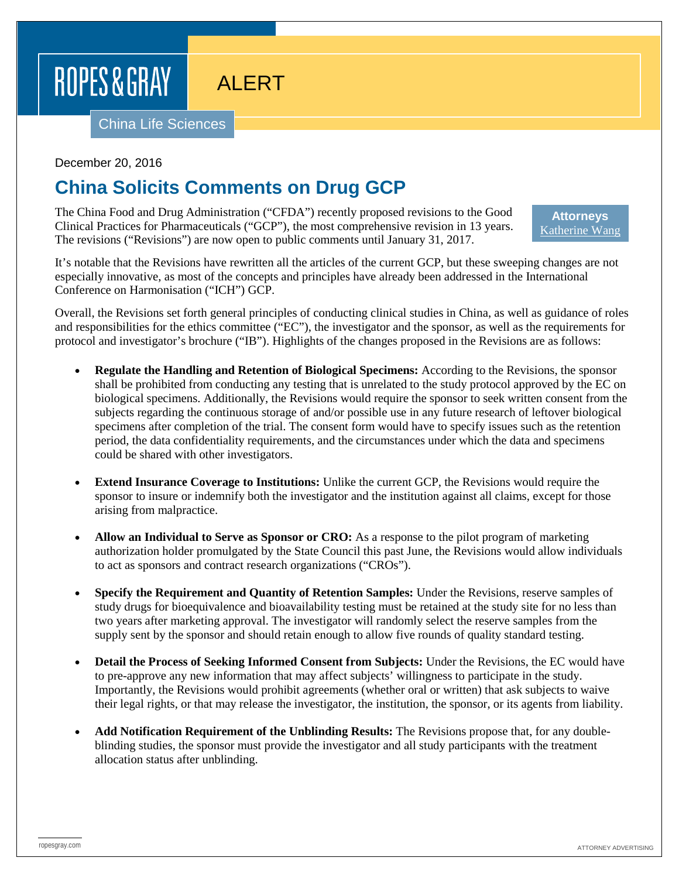## ROPES & GRAY

ALERT

China Life Sciences

December 20, 2016

## **China Solicits Comments on Drug GCP**

The China Food and Drug Administration ("CFDA") recently proposed revisions to the Good Clinical Practices for Pharmaceuticals ("GCP"), the most comprehensive revision in 13 years. The revisions ("Revisions") are now open to public comments until January 31, 2017.

**Attorneys** [Katherine Wang](https://www.ropesgray.com/biographies/w/katherine-wang.aspx)

It's notable that the Revisions have rewritten all the articles of the current GCP, but these sweeping changes are not especially innovative, as most of the concepts and principles have already been addressed in the International Conference on Harmonisation ("ICH") GCP.

Overall, the Revisions set forth general principles of conducting clinical studies in China, as well as guidance of roles and responsibilities for the ethics committee ("EC"), the investigator and the sponsor, as well as the requirements for protocol and investigator's brochure ("IB"). Highlights of the changes proposed in the Revisions are as follows:

- **Regulate the Handling and Retention of Biological Specimens:** According to the Revisions, the sponsor shall be prohibited from conducting any testing that is unrelated to the study protocol approved by the EC on biological specimens. Additionally, the Revisions would require the sponsor to seek written consent from the subjects regarding the continuous storage of and/or possible use in any future research of leftover biological specimens after completion of the trial. The consent form would have to specify issues such as the retention period, the data confidentiality requirements, and the circumstances under which the data and specimens could be shared with other investigators.
- **Extend Insurance Coverage to Institutions:** Unlike the current GCP, the Revisions would require the sponsor to insure or indemnify both the investigator and the institution against all claims, except for those arising from malpractice.
- **Allow an Individual to Serve as Sponsor or CRO:** As a response to the pilot program of marketing authorization holder promulgated by the State Council this past June, the Revisions would allow individuals to act as sponsors and contract research organizations ("CROs").
- **Specify the Requirement and Quantity of Retention Samples:** Under the Revisions, reserve samples of study drugs for bioequivalence and bioavailability testing must be retained at the study site for no less than two years after marketing approval. The investigator will randomly select the reserve samples from the supply sent by the sponsor and should retain enough to allow five rounds of quality standard testing.
- **Detail the Process of Seeking Informed Consent from Subjects:** Under the Revisions, the EC would have to pre-approve any new information that may affect subjects' willingness to participate in the study. Importantly, the Revisions would prohibit agreements (whether oral or written) that ask subjects to waive their legal rights, or that may release the investigator, the institution, the sponsor, or its agents from liability.
- **Add Notification Requirement of the Unblinding Results:** The Revisions propose that, for any doubleblinding studies, the sponsor must provide the investigator and all study participants with the treatment allocation status after unblinding.